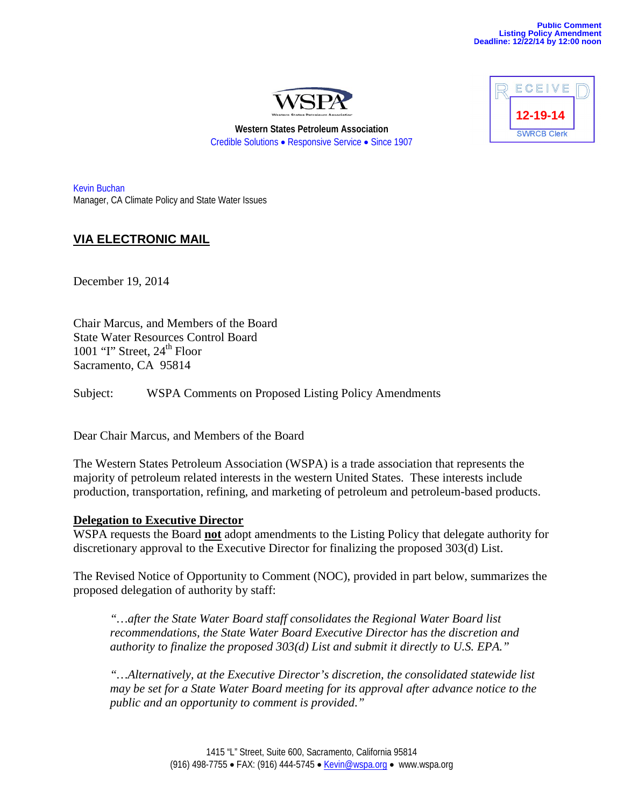

**Western States Petroleum Association** Credible Solutions • Responsive Service • Since 1907

Kevin Buchan Manager, CA Climate Policy and State Water Issues

# **VIA ELECTRONIC MAIL**

December 19, 2014

Chair Marcus, and Members of the Board State Water Resources Control Board 1001 "I" Street,  $24<sup>th</sup>$  Floor Sacramento, CA 95814

Subject: WSPA Comments on Proposed Listing Policy Amendments

Dear Chair Marcus, and Members of the Board

The Western States Petroleum Association (WSPA) is a trade association that represents the majority of petroleum related interests in the western United States. These interests include production, transportation, refining, and marketing of petroleum and petroleum-based products.

### **Delegation to Executive Director**

WSPA requests the Board **not** adopt amendments to the Listing Policy that delegate authority for discretionary approval to the Executive Director for finalizing the proposed 303(d) List.

The Revised Notice of Opportunity to Comment (NOC), provided in part below, summarizes the proposed delegation of authority by staff:

*"…after the State Water Board staff consolidates the Regional Water Board list recommendations, the State Water Board Executive Director has the discretion and authority to finalize the proposed 303(d) List and submit it directly to U.S. EPA."*

*"…Alternatively, at the Executive Director's discretion, the consolidated statewide list may be set for a State Water Board meeting for its approval after advance notice to the public and an opportunity to comment is provided."*

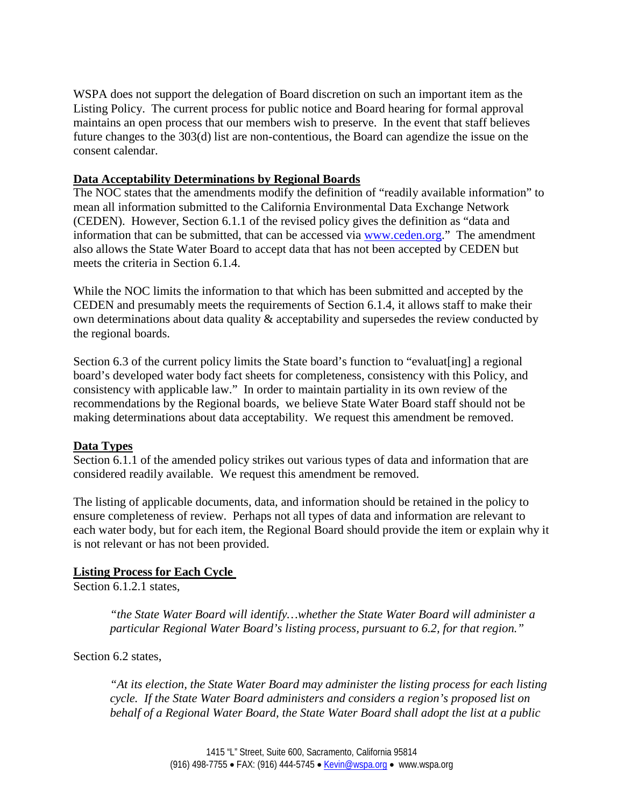WSPA does not support the delegation of Board discretion on such an important item as the Listing Policy. The current process for public notice and Board hearing for formal approval maintains an open process that our members wish to preserve. In the event that staff believes future changes to the 303(d) list are non-contentious, the Board can agendize the issue on the consent calendar.

## **Data Acceptability Determinations by Regional Boards**

The NOC states that the amendments modify the definition of "readily available information" to mean all information submitted to the California Environmental Data Exchange Network (CEDEN). However, Section 6.1.1 of the revised policy gives the definition as "data and information that can be submitted, that can be accessed via [www.ceden.org.](http://www.ceden.org/)" The amendment also allows the State Water Board to accept data that has not been accepted by CEDEN but meets the criteria in Section 6.1.4.

While the NOC limits the information to that which has been submitted and accepted by the CEDEN and presumably meets the requirements of Section 6.1.4, it allows staff to make their own determinations about data quality & acceptability and supersedes the review conducted by the regional boards.

Section 6.3 of the current policy limits the State board's function to "evaluat [ing] a regional board's developed water body fact sheets for completeness, consistency with this Policy, and consistency with applicable law." In order to maintain partiality in its own review of the recommendations by the Regional boards, we believe State Water Board staff should not be making determinations about data acceptability. We request this amendment be removed.

## **Data Types**

Section 6.1.1 of the amended policy strikes out various types of data and information that are considered readily available. We request this amendment be removed.

The listing of applicable documents, data, and information should be retained in the policy to ensure completeness of review. Perhaps not all types of data and information are relevant to each water body, but for each item, the Regional Board should provide the item or explain why it is not relevant or has not been provided.

## **Listing Process for Each Cycle**

Section 6.1.2.1 states,

*"the State Water Board will identify…whether the State Water Board will administer a particular Regional Water Board's listing process, pursuant to 6.2, for that region."*

Section 6.2 states,

*"At its election, the State Water Board may administer the listing process for each listing cycle. If the State Water Board administers and considers a region's proposed list on behalf of a Regional Water Board, the State Water Board shall adopt the list at a public*